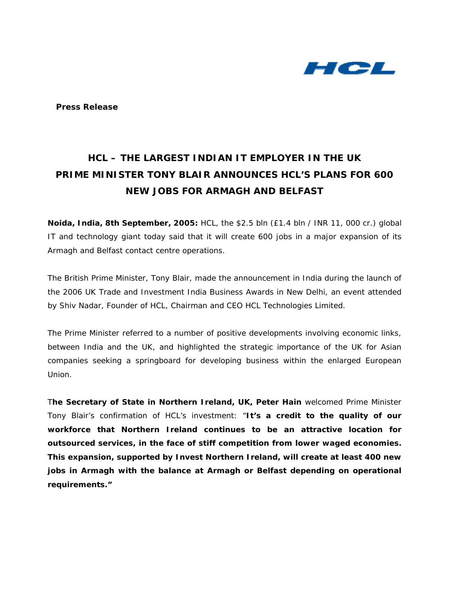

**Press Release** 

# **HCL – THE LARGEST INDIAN IT EMPLOYER IN THE UK**  *PRIME MINISTER TONY BLAIR ANNOUNCES HCL'S PLANS FOR 600 NEW JOBS FOR ARMAGH AND BELFAST*

**Noida, India, 8th September, 2005:** HCL, the \$2.5 bln (£1.4 bln / INR 11, 000 cr.) global IT and technology giant today said that it will create 600 jobs in a major expansion of its Armagh and Belfast contact centre operations.

The British Prime Minister, Tony Blair, made the announcement in India during the launch of the 2006 UK Trade and Investment India Business Awards in New Delhi, an event attended by Shiv Nadar, Founder of HCL, Chairman and CEO HCL Technologies Limited.

The Prime Minister referred to a number of positive developments involving economic links, between India and the UK, and highlighted the strategic importance of the UK for Asian companies seeking a springboard for developing business within the enlarged European Union.

T**he Secretary of State in Northern Ireland, UK, Peter Hain** welcomed Prime Minister Tony Blair's confirmation of HCL's investment: "**It's a credit to the quality of our workforce that Northern Ireland continues to be an attractive location for outsourced services, in the face of stiff competition from lower waged economies. This expansion, supported by Invest Northern Ireland, will create at least 400 new jobs in Armagh with the balance at Armagh or Belfast depending on operational requirements."**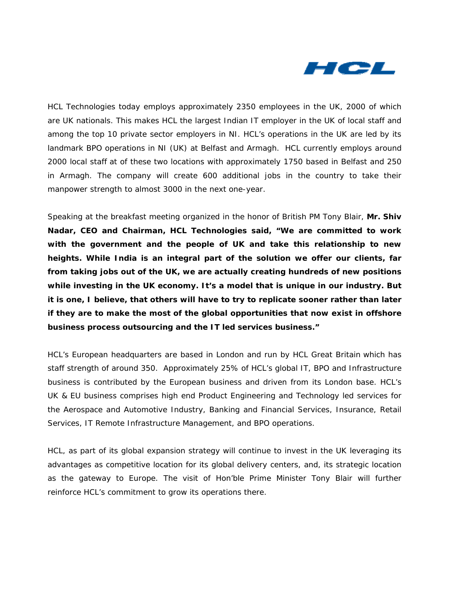

HCL Technologies today employs approximately 2350 employees in the UK, 2000 of which are UK nationals. This makes HCL the largest Indian IT employer in the UK of local staff and among the top 10 private sector employers in NI. HCL's operations in the UK are led by its landmark BPO operations in NI (UK) at Belfast and Armagh. HCL currently employs around 2000 local staff at of these two locations with approximately 1750 based in Belfast and 250 in Armagh. The company will create 600 additional jobs in the country to take their manpower strength to almost 3000 in the next one-year.

Speaking at the breakfast meeting organized in the honor of British PM Tony Blair, **Mr. Shiv Nadar, CEO and Chairman, HCL Technologies said, "We are committed to work with the government and the people of UK and take this relationship to new heights. While India is an integral part of the solution we offer our clients, far from taking jobs out of the UK, we are actually creating hundreds of new positions while investing in the UK economy. It's a model that is unique in our industry. But it is one, I believe, that others will have to try to replicate sooner rather than later if they are to make the most of the global opportunities that now exist in offshore business process outsourcing and the IT led services business."** 

HCL's European headquarters are based in London and run by HCL Great Britain which has staff strength of around 350. Approximately 25% of HCL's global IT, BPO and Infrastructure business is contributed by the European business and driven from its London base. HCL's UK & EU business comprises high end Product Engineering and Technology led services for the Aerospace and Automotive Industry, Banking and Financial Services, Insurance, Retail Services, IT Remote Infrastructure Management, and BPO operations.

HCL, as part of its global expansion strategy will continue to invest in the UK leveraging its advantages as competitive location for its global delivery centers, and, its strategic location as the gateway to Europe. The visit of Hon'ble Prime Minister Tony Blair will further reinforce HCL's commitment to grow its operations there.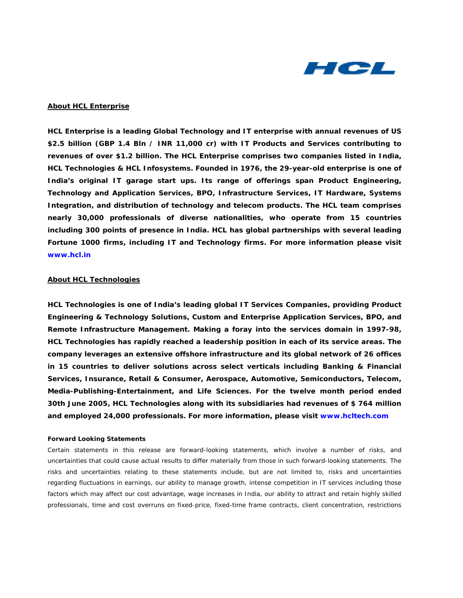

### **About HCL Enterprise**

**HCL Enterprise is a leading Global Technology and IT enterprise with annual revenues of US \$2.5 billion (GBP 1.4 Bln / INR 11,000 cr) with IT Products and Services contributing to revenues of over \$1.2 billion. The HCL Enterprise comprises two companies listed in India, HCL Technologies & HCL Infosystems. Founded in 1976, the 29-year-old enterprise is one of India's original IT garage start ups. Its range of offerings span Product Engineering, Technology and Application Services, BPO, Infrastructure Services, IT Hardware, Systems Integration, and distribution of technology and telecom products. The HCL team comprises nearly 30,000 professionals of diverse nationalities, who operate from 15 countries including 300 points of presence in India. HCL has global partnerships with several leading Fortune 1000 firms, including IT and Technology firms. For more information please visit [www.hcl.in](http://www.hcl.in)** 

#### **About HCL Technologies**

**HCL Technologies is one of India's leading global IT Services Companies, providing Product Engineering & Technology Solutions, Custom and Enterprise Application Services, BPO, and Remote Infrastructure Management. Making a foray into the services domain in 1997-98, HCL Technologies has rapidly reached a leadership position in each of its service areas. The company leverages an extensive offshore infrastructure and its global network of 26 offices in 15 countries to deliver solutions across select verticals including Banking & Financial Services, Insurance, Retail & Consumer, Aerospace, Automotive, Semiconductors, Telecom, Media-Publishing-Entertainment, and Life Sciences. For the twelve month period ended 30th June 2005, HCL Technologies along with its subsidiaries had revenues of \$ 764 million and employed 24,000 professionals. For more information, please visit [www.hcltech.com](http://www.hcltech.com)**

#### *Forward Looking Statements*

*Certain statements in this release are forward-looking statements, which involve a number of risks, and uncertainties that could cause actual results to differ materially from those in such forward-looking statements. The risks and uncertainties relating to these statements include, but are not limited to, risks and uncertainties regarding fluctuations in earnings, our ability to manage growth, intense competition in IT services including those*  factors which may affect our cost advantage, wage increases in India, our ability to attract and retain highly skilled *professionals, time and cost overruns on fixed-price, fixed-time frame contracts, client concentration, restrictions*